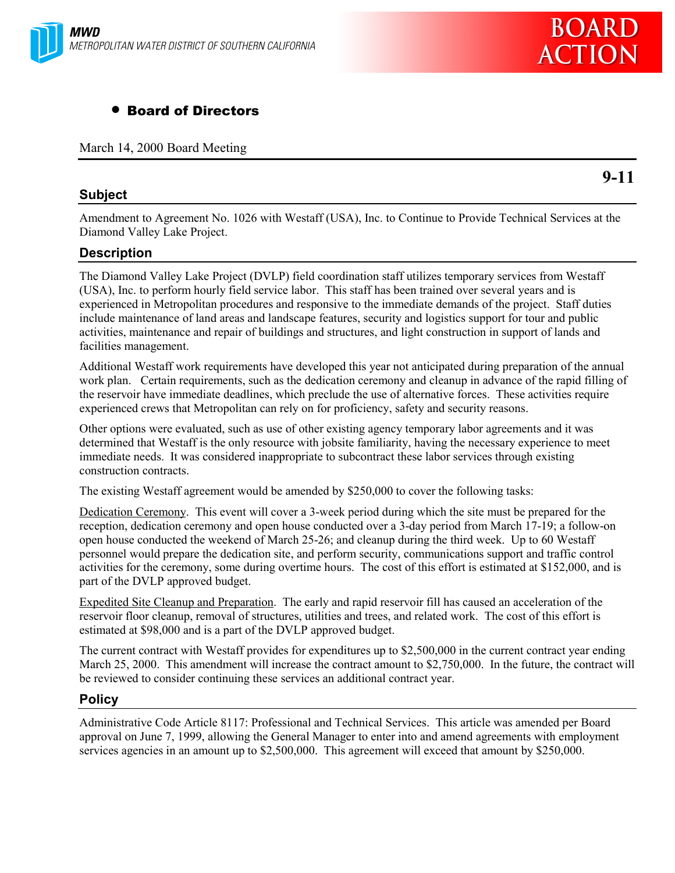



# • Board of Directors

March 14, 2000 Board Meeting

# **Subject**

**9-11**

Amendment to Agreement No. 1026 with Westaff (USA), Inc. to Continue to Provide Technical Services at the Diamond Valley Lake Project.

# **Description**

The Diamond Valley Lake Project (DVLP) field coordination staff utilizes temporary services from Westaff (USA), Inc. to perform hourly field service labor. This staff has been trained over several years and is experienced in Metropolitan procedures and responsive to the immediate demands of the project. Staff duties include maintenance of land areas and landscape features, security and logistics support for tour and public activities, maintenance and repair of buildings and structures, and light construction in support of lands and facilities management.

Additional Westaff work requirements have developed this year not anticipated during preparation of the annual work plan. Certain requirements, such as the dedication ceremony and cleanup in advance of the rapid filling of the reservoir have immediate deadlines, which preclude the use of alternative forces. These activities require experienced crews that Metropolitan can rely on for proficiency, safety and security reasons.

Other options were evaluated, such as use of other existing agency temporary labor agreements and it was determined that Westaff is the only resource with jobsite familiarity, having the necessary experience to meet immediate needs. It was considered inappropriate to subcontract these labor services through existing construction contracts.

The existing Westaff agreement would be amended by \$250,000 to cover the following tasks:

Dedication Ceremony. This event will cover a 3-week period during which the site must be prepared for the reception, dedication ceremony and open house conducted over a 3-day period from March 17-19; a follow-on open house conducted the weekend of March 25-26; and cleanup during the third week. Up to 60 Westaff personnel would prepare the dedication site, and perform security, communications support and traffic control activities for the ceremony, some during overtime hours. The cost of this effort is estimated at \$152,000, and is part of the DVLP approved budget.

Expedited Site Cleanup and Preparation. The early and rapid reservoir fill has caused an acceleration of the reservoir floor cleanup, removal of structures, utilities and trees, and related work. The cost of this effort is estimated at \$98,000 and is a part of the DVLP approved budget.

The current contract with Westaff provides for expenditures up to \$2,500,000 in the current contract year ending March 25, 2000. This amendment will increase the contract amount to \$2,750,000. In the future, the contract will be reviewed to consider continuing these services an additional contract year.

# **Policy**

Administrative Code Article 8117: Professional and Technical Services. This article was amended per Board approval on June 7, 1999, allowing the General Manager to enter into and amend agreements with employment services agencies in an amount up to \$2,500,000. This agreement will exceed that amount by \$250,000.